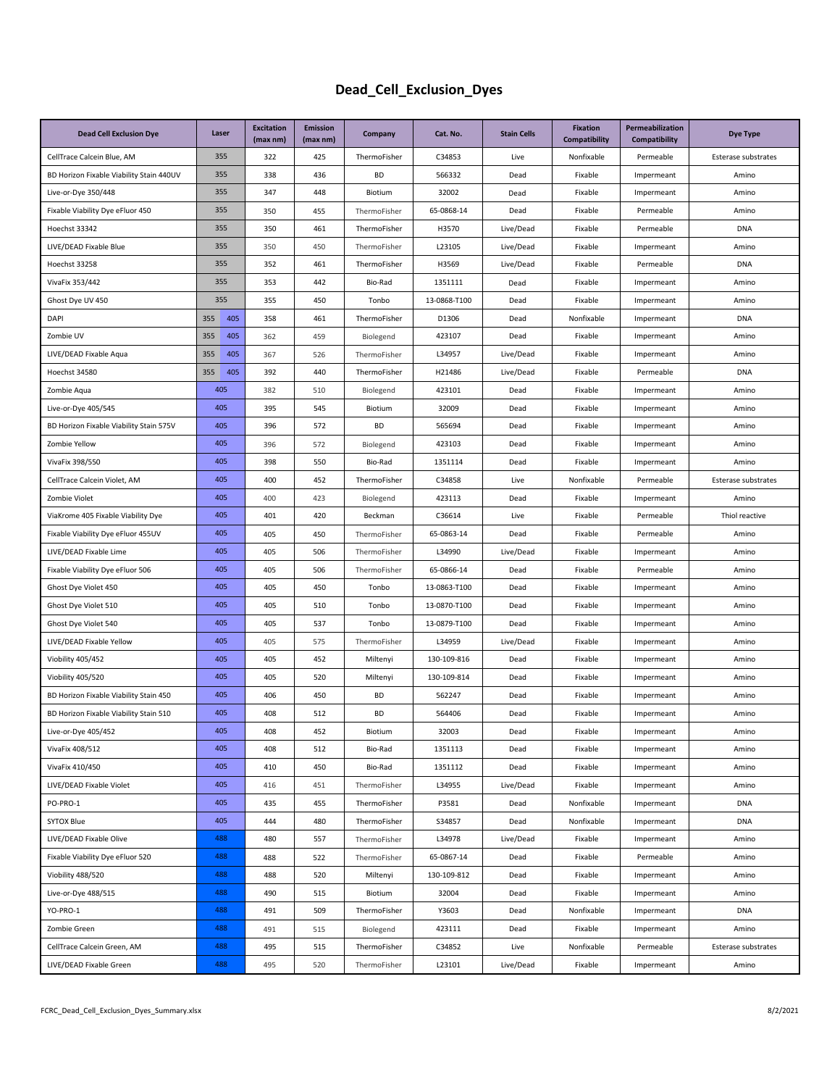## **Dead\_Cell\_Exclusion\_Dyes**

| <b>Dead Cell Exclusion Dye</b>           | Laser      | <b>Excitation</b><br>(max nm) | <b>Emission</b><br>(max nm) | Company      | Cat. No.     | <b>Stain Cells</b> | <b>Fixation</b><br><b>Compatibility</b> | Permeabilization<br><b>Compatibility</b> | Dye Type            |
|------------------------------------------|------------|-------------------------------|-----------------------------|--------------|--------------|--------------------|-----------------------------------------|------------------------------------------|---------------------|
| CellTrace Calcein Blue, AM               | 355        | 322                           | 425                         | ThermoFisher | C34853       | Live               | Nonfixable                              | Permeable                                | Esterase substrates |
| BD Horizon Fixable Viability Stain 440UV | 355        | 338                           | 436                         | <b>BD</b>    | 566332       | Dead               | Fixable                                 | Impermeant                               | Amino               |
| Live-or-Dye 350/448                      | 355        | 347                           | 448                         | Biotium      | 32002        | Dead               | Fixable                                 | Impermeant                               | Amino               |
| Fixable Viability Dye eFluor 450         | 355        | 350                           | 455                         | ThermoFisher | 65-0868-14   | Dead               | Fixable                                 | Permeable                                | Amino               |
| Hoechst 33342                            | 355        | 350                           | 461                         | ThermoFisher | H3570        | Live/Dead          | Fixable                                 | Permeable                                | <b>DNA</b>          |
| LIVE/DEAD Fixable Blue                   | 355        | 350                           | 450                         | ThermoFisher | L23105       | Live/Dead          | Fixable                                 | Impermeant                               | Amino               |
| Hoechst 33258                            | 355        | 352                           | 461                         | ThermoFisher | H3569        | Live/Dead          | Fixable                                 | Permeable                                | <b>DNA</b>          |
| VivaFix 353/442                          | 355        | 353                           | 442                         | Bio-Rad      | 1351111      | Dead               | Fixable                                 | Impermeant                               | Amino               |
| Ghost Dye UV 450                         | 355        | 355                           | 450                         | Tonbo        | 13-0868-T100 | Dead               | Fixable                                 | Impermeant                               | Amino               |
| DAPI                                     | 405<br>355 | 358                           | 461                         | ThermoFisher | D1306        | Dead               | Nonfixable                              | Impermeant                               | <b>DNA</b>          |
| Zombie UV                                | 405<br>355 | 362                           | 459                         | Biolegend    | 423107       | Dead               | Fixable                                 | Impermeant                               | Amino               |
| LIVE/DEAD Fixable Aqua                   | 405<br>355 | 367                           | 526                         | ThermoFisher | L34957       | Live/Dead          | Fixable                                 | Impermeant                               | Amino               |
| Hoechst 34580                            | 405<br>355 | 392                           | 440                         | ThermoFisher | H21486       | Live/Dead          | Fixable                                 | Permeable                                | <b>DNA</b>          |
| Zombie Aqua                              | 405        | 382                           | 510                         | Biolegend    | 423101       | Dead               | Fixable                                 | Impermeant                               | Amino               |
| Live-or-Dye 405/545                      | 405        | 395                           | 545                         | Biotium      | 32009        | Dead               | Fixable                                 | Impermeant                               | Amino               |
| BD Horizon Fixable Viability Stain 575V  | 405        | 396                           | 572                         | BD           | 565694       | Dead               | Fixable                                 | Impermeant                               | Amino               |
| Zombie Yellow                            | 405        | 396                           | 572                         | Biolegend    | 423103       | Dead               | Fixable                                 | Impermeant                               | Amino               |
| VivaFix 398/550                          | 405        | 398                           | 550                         | Bio-Rad      | 1351114      | Dead               | Fixable                                 | Impermeant                               | Amino               |
| CellTrace Calcein Violet, AM             | 405        | 400                           | 452                         | ThermoFisher | C34858       | Live               | Nonfixable                              | Permeable                                | Esterase substrates |
| Zombie Violet                            | 405        | 400                           | 423                         | Biolegend    | 423113       | Dead               | Fixable                                 | Impermeant                               | Amino               |
| ViaKrome 405 Fixable Viability Dye       | 405        | 401                           | 420                         | Beckman      | C36614       | Live               | Fixable                                 | Permeable                                | Thiol reactive      |
| Fixable Viability Dye eFluor 455UV       | 405        | 405                           | 450                         | ThermoFisher | 65-0863-14   | Dead               | Fixable                                 | Permeable                                | Amino               |
| LIVE/DEAD Fixable Lime                   | 405        | 405                           | 506                         | ThermoFisher | L34990       | Live/Dead          | Fixable                                 | Impermeant                               | Amino               |
| Fixable Viability Dye eFluor 506         | 405        | 405                           | 506                         | ThermoFisher | 65-0866-14   | Dead               | Fixable                                 | Permeable                                | Amino               |
| Ghost Dye Violet 450                     | 405        | 405                           | 450                         | Tonbo        | 13-0863-T100 | Dead               | Fixable                                 | Impermeant                               | Amino               |
| Ghost Dye Violet 510                     | 405        | 405                           | 510                         | Tonbo        | 13-0870-T100 | Dead               | Fixable                                 | Impermeant                               | Amino               |
| Ghost Dye Violet 540                     | 405        | 405                           | 537                         | Tonbo        | 13-0879-T100 | Dead               | Fixable                                 | Impermeant                               | Amino               |
| LIVE/DEAD Fixable Yellow                 | 405        | 405                           | 575                         | ThermoFisher | L34959       | Live/Dead          | Fixable                                 | Impermeant                               | Amino               |
| Viobility 405/452                        | 405        | 405                           | 452                         | Miltenyi     | 130-109-816  | Dead               | Fixable                                 | Impermeant                               | Amino               |
| Viobility 405/520                        | 405        | 405                           | 520                         | Miltenyi     | 130-109-814  | Dead               | Fixable                                 | Impermeant                               | Amino               |
| BD Horizon Fixable Viability Stain 450   | 405        | 406                           | 450                         | BD           | 562247       | Dead               | Fixable                                 | Impermeant                               | Amino               |
| BD Horizon Fixable Viability Stain 510   | 405        | 408                           | 512                         | <b>BD</b>    | 564406       | Dead               | Fixable                                 | Impermeant                               | Amino               |
| Live-or-Dye 405/452                      | 405        | 408                           | 452                         | Biotium      | 32003        | Dead               | Fixable                                 | Impermeant                               | Amino               |
| VivaFix 408/512                          | 405        | 408                           | 512                         | Bio-Rad      | 1351113      | Dead               | Fixable                                 | Impermeant                               | Amino               |
| VivaFix 410/450                          | 405        | 410                           | 450                         | Bio-Rad      | 1351112      | Dead               | Fixable                                 | Impermeant                               | Amino               |
| LIVE/DEAD Fixable Violet                 | 405        | 416                           | 451                         | ThermoFisher | L34955       | Live/Dead          | Fixable                                 | Impermeant                               | Amino               |
| PO-PRO-1                                 | 405        | 435                           | 455                         | ThermoFisher | P3581        | Dead               | Nonfixable                              | Impermeant                               | <b>DNA</b>          |
| <b>SYTOX Blue</b>                        | 405        | 444                           | 480                         | ThermoFisher | S34857       | Dead               | Nonfixable                              | Impermeant                               | <b>DNA</b>          |
| LIVE/DEAD Fixable Olive                  | 488        | 480                           | 557                         | ThermoFisher | L34978       | Live/Dead          | Fixable                                 | Impermeant                               | Amino               |
| Fixable Viability Dye eFluor 520         | 488        | 488                           | 522                         | ThermoFisher | 65-0867-14   | Dead               | Fixable                                 | Permeable                                | Amino               |
| Viobility 488/520                        | 488        | 488                           | 520                         | Miltenyi     | 130-109-812  | Dead               | Fixable                                 | Impermeant                               | Amino               |
| Live-or-Dye 488/515                      | 488        | 490                           | 515                         | Biotium      | 32004        | Dead               | Fixable                                 | Impermeant                               | Amino               |
| YO-PRO-1                                 | 488        | 491                           | 509                         | ThermoFisher | Y3603        | Dead               | Nonfixable                              | Impermeant                               | <b>DNA</b>          |
| Zombie Green                             | 488        | 491                           | 515                         | Biolegend    | 423111       | Dead               | Fixable                                 | Impermeant                               | Amino               |
| CellTrace Calcein Green, AM              | 488        | 495                           | 515                         | ThermoFisher | C34852       | Live               | Nonfixable                              | Permeable                                | Esterase substrates |
| LIVE/DEAD Fixable Green                  | 488        | 495                           | 520                         | ThermoFisher | L23101       | Live/Dead          | Fixable                                 | Impermeant                               | Amino               |